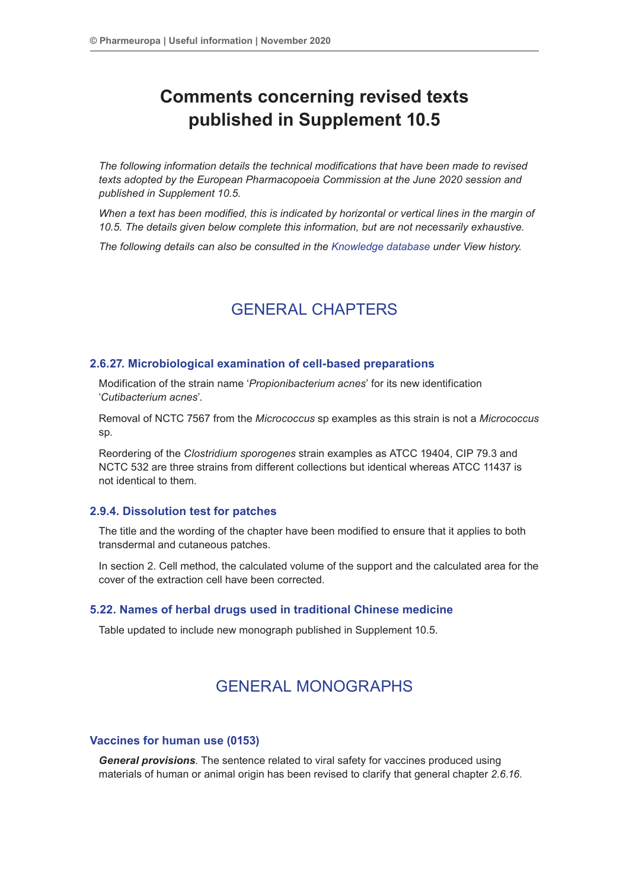# **Comments concerning revised texts published in Supplement 10.5**

*The following information details the technical modifications that have been made to revised texts adopted by the European Pharmacopoeia Commission at the June 2020 session and published in Supplement 10.5.*

*When a text has been modified, this is indicated by horizontal or vertical lines in the margin of 10.5. The details given below complete this information, but are not necessarily exhaustive.*

*The following details can also be consulted in the Knowledge database under View history.*

## GENERAL CHAPTERS

## **2.6.27. Microbiological examination of cell-based preparations**

Modification of the strain name '*Propionibacterium acnes*' for its new identification '*Cutibacterium acnes*'.

Removal of NCTC 7567 from the *Micrococcus* sp examples as this strain is not a *Micrococcus*  sp.

Reordering of the *Clostridium sporogenes* strain examples as ATCC 19404, CIP 79.3 and NCTC 532 are three strains from different collections but identical whereas ATCC 11437 is not identical to them.

### **2.9.4. Dissolution test for patches**

The title and the wording of the chapter have been modified to ensure that it applies to both transdermal and cutaneous patches.

In section 2. Cell method, the calculated volume of the support and the calculated area for the cover of the extraction cell have been corrected.

### **5.22. Names of herbal drugs used in traditional Chinese medicine**

Table updated to include new monograph published in Supplement 10.5.

## GENERAL MONOGRAPHS

#### **Vaccines for human use (0153)**

*General provisions*. The sentence related to viral safety for vaccines produced using materials of human or animal origin has been revised to clarify that general chapter *2.6.16.*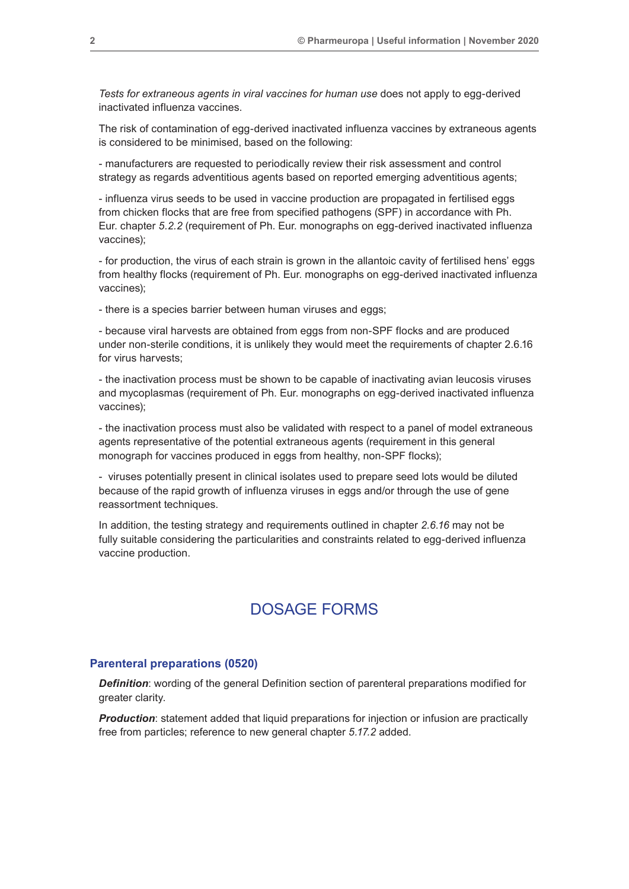*Tests for extraneous agents in viral vaccines for human use* does not apply to egg-derived inactivated influenza vaccines.

The risk of contamination of egg-derived inactivated influenza vaccines by extraneous agents is considered to be minimised, based on the following:

- manufacturers are requested to periodically review their risk assessment and control strategy as regards adventitious agents based on reported emerging adventitious agents;

- influenza virus seeds to be used in vaccine production are propagated in fertilised eggs from chicken flocks that are free from specified pathogens (SPF) in accordance with Ph. Eur. chapter *5.2.2* (requirement of Ph. Eur. monographs on egg-derived inactivated influenza vaccines);

- for production, the virus of each strain is grown in the allantoic cavity of fertilised hens' eggs from healthy flocks (requirement of Ph. Eur. monographs on egg-derived inactivated influenza vaccines);

- there is a species barrier between human viruses and eggs;

- because viral harvests are obtained from eggs from non-SPF flocks and are produced under non-sterile conditions, it is unlikely they would meet the requirements of chapter 2.6.16 for virus harvests;

- the inactivation process must be shown to be capable of inactivating avian leucosis viruses and mycoplasmas (requirement of Ph. Eur. monographs on egg-derived inactivated influenza vaccines);

- the inactivation process must also be validated with respect to a panel of model extraneous agents representative of the potential extraneous agents (requirement in this general monograph for vaccines produced in eggs from healthy, non-SPF flocks);

- viruses potentially present in clinical isolates used to prepare seed lots would be diluted because of the rapid growth of influenza viruses in eggs and/or through the use of gene reassortment techniques.

In addition, the testing strategy and requirements outlined in chapter *2.6.16* may not be fully suitable considering the particularities and constraints related to egg-derived influenza vaccine production.

## DOSAGE FORMS

#### **Parenteral preparations (0520)**

*Definition*: wording of the general Definition section of parenteral preparations modified for greater clarity.

*Production:* statement added that liquid preparations for injection or infusion are practically free from particles; reference to new general chapter *5.17.2* added.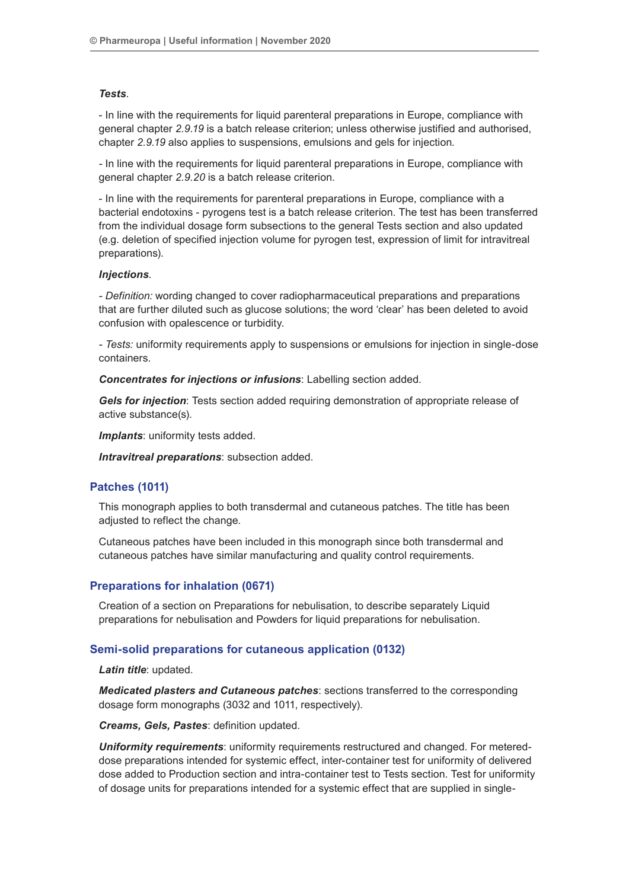#### *Tests*.

- In line with the requirements for liquid parenteral preparations in Europe, compliance with general chapter *2.9.19* is a batch release criterion; unless otherwise justified and authorised, chapter *2.9.19* also applies to suspensions, emulsions and gels for injection*.*

*-* In line with the requirements for liquid parenteral preparations in Europe, compliance with general chapter *2.9.20* is a batch release criterion.

- In line with the requirements for parenteral preparations in Europe, compliance with a bacterial endotoxins - pyrogens test is a batch release criterion. The test has been transferred from the individual dosage form subsections to the general Tests section and also updated (e.g. deletion of specified injection volume for pyrogen test, expression of limit for intravitreal preparations).

#### *Injections*.

*- Definition:* wording changed to cover radiopharmaceutical preparations and preparations that are further diluted such as glucose solutions; the word 'clear' has been deleted to avoid confusion with opalescence or turbidity.

*- Tests:* uniformity requirements apply to suspensions or emulsions for injection in single-dose containers.

*Concentrates for injections or infusions*: Labelling section added.

*Gels for injection*: Tests section added requiring demonstration of appropriate release of active substance(s).

**Implants:** uniformity tests added.

*Intravitreal preparations*: subsection added.

## **Patches (1011)**

This monograph applies to both transdermal and cutaneous patches. The title has been adjusted to reflect the change.

Cutaneous patches have been included in this monograph since both transdermal and cutaneous patches have similar manufacturing and quality control requirements.

## **Preparations for inhalation (0671)**

Creation of a section on Preparations for nebulisation, to describe separately Liquid preparations for nebulisation and Powders for liquid preparations for nebulisation.

#### **Semi-solid preparations for cutaneous application (0132)**

*Latin title*: updated.

*Medicated plasters and Cutaneous patches*: sections transferred to the corresponding dosage form monographs (3032 and 1011, respectively).

*Creams, Gels, Pastes*: definition updated.

*Uniformity requirements*: uniformity requirements restructured and changed. For metereddose preparations intended for systemic effect, inter-container test for uniformity of delivered dose added to Production section and intra-container test to Tests section. Test for uniformity of dosage units for preparations intended for a systemic effect that are supplied in single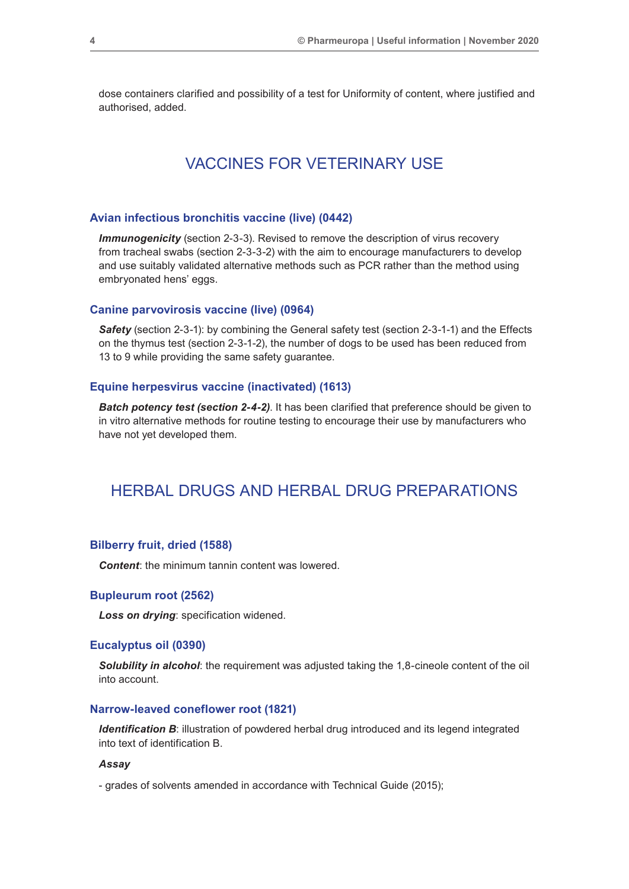dose containers clarified and possibility of a test for Uniformity of content, where justified and authorised, added.

## VACCINES FOR VETERINARY USE

#### **Avian infectious bronchitis vaccine (live) (0442)**

**Immunogenicity** (section 2-3-3). Revised to remove the description of virus recovery from tracheal swabs (section 2-3-3-2) with the aim to encourage manufacturers to develop and use suitably validated alternative methods such as PCR rather than the method using embryonated hens' eggs.

#### **Canine parvovirosis vaccine (live) (0964)**

**Safety** (section 2-3-1): by combining the General safety test (section 2-3-1-1) and the Effects on the thymus test (section 2-3-1-2), the number of dogs to be used has been reduced from 13 to 9 while providing the same safety guarantee.

## **Equine herpesvirus vaccine (inactivated) (1613)**

*Batch potency test (section 2-4-2).* It has been clarified that preference should be given to in vitro alternative methods for routine testing to encourage their use by manufacturers who have not yet developed them.

## HERBAL DRUGS AND HERBAL DRUG PREPARATIONS

#### **Bilberry fruit, dried (1588)**

*Content:* the minimum tannin content was lowered.

#### **Bupleurum root (2562)**

*Loss on drying*: specification widened.

#### **Eucalyptus oil (0390)**

**Solubility in alcohol:** the requirement was adjusted taking the 1,8-cineole content of the oil into account.

## **Narrow-leaved coneflower root (1821)**

**Identification B:** illustration of powdered herbal drug introduced and its legend integrated into text of identification B.

#### *Assay*

- grades of solvents amended in accordance with Technical Guide (2015);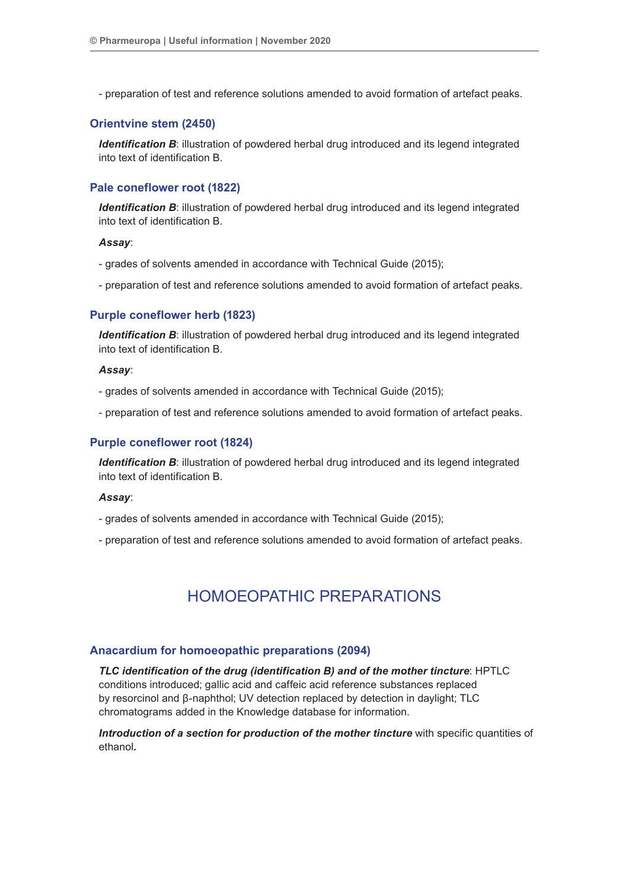- preparation of test and reference solutions amended to avoid formation of artefact peaks.

## **Orientvine stem (2450)**

*Identification B*: illustration of powdered herbal drug introduced and its legend integrated into text of identification B.

## **Pale coneflower root (1822)**

*Identification B*: illustration of powdered herbal drug introduced and its legend integrated into text of identification B.

#### *Assay*:

- grades of solvents amended in accordance with Technical Guide (2015);
- preparation of test and reference solutions amended to avoid formation of artefact peaks.

#### **Purple coneflower herb (1823)**

*Identification B*: illustration of powdered herbal drug introduced and its legend integrated into text of identification B.

### *Assay*:

- grades of solvents amended in accordance with Technical Guide (2015);

- preparation of test and reference solutions amended to avoid formation of artefact peaks.

#### **Purple coneflower root (1824)**

*Identification B*: illustration of powdered herbal drug introduced and its legend integrated into text of identification B.

#### *Assay*:

- grades of solvents amended in accordance with Technical Guide (2015);

- preparation of test and reference solutions amended to avoid formation of artefact peaks.

## HOMOEOPATHIC PREPARATIONS

#### **Anacardium for homoeopathic preparations (2094)**

*TLC identification of the drug (identification B) and of the mother tincture*: HPTLC conditions introduced; gallic acid and caffeic acid reference substances replaced by resorcinol and β-naphthol; UV detection replaced by detection in daylight; TLC chromatograms added in the Knowledge database for information.

*Introduction of a section for production of the mother tincture* with specific quantities of ethanol*.*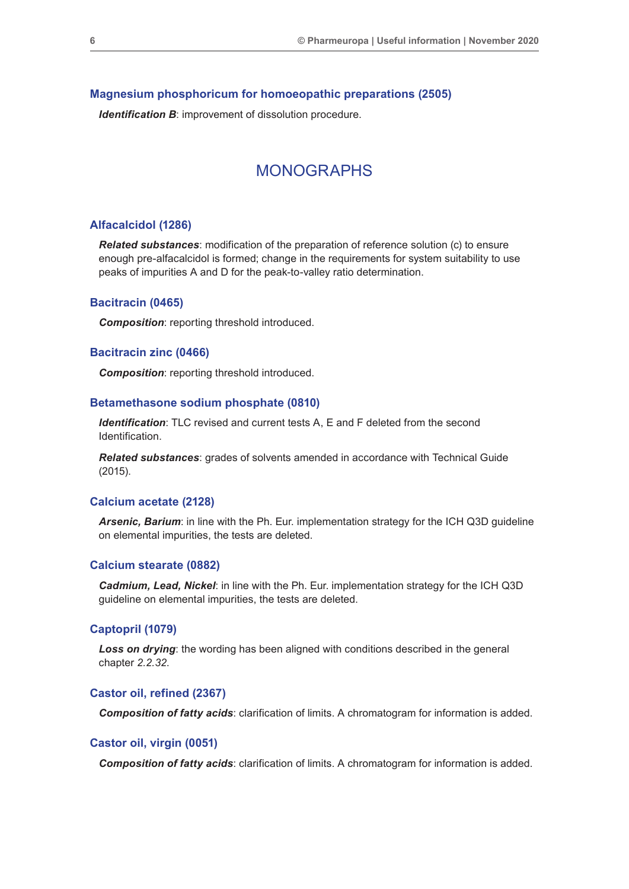#### **Magnesium phosphoricum for homoeopathic preparations (2505)**

**Identification B:** improvement of dissolution procedure.

## MONOGRAPHS

#### **Alfacalcidol (1286)**

*Related substances*: modification of the preparation of reference solution (c) to ensure enough pre-alfacalcidol is formed; change in the requirements for system suitability to use peaks of impurities A and D for the peak-to-valley ratio determination.

#### **Bacitracin (0465)**

*Composition*: reporting threshold introduced.

#### **Bacitracin zinc (0466)**

*Composition*: reporting threshold introduced.

#### **Betamethasone sodium phosphate (0810)**

*Identification*: TLC revised and current tests A, E and F deleted from the second Identification.

*Related substances*: grades of solvents amended in accordance with Technical Guide (2015).

## **Calcium acetate (2128)**

*Arsenic, Barium*: in line with the Ph. Eur. implementation strategy for the ICH Q3D guideline on elemental impurities, the tests are deleted.

#### **Calcium stearate (0882)**

*Cadmium, Lead, Nickel*: in line with the Ph. Eur. implementation strategy for the ICH Q3D guideline on elemental impurities, the tests are deleted.

## **Captopril (1079)**

**Loss on drying**: the wording has been aligned with conditions described in the general chapter *2.2.32*.

#### **Castor oil, refined (2367)**

*Composition of fatty acids*: clarification of limits. A chromatogram for information is added.

### **Castor oil, virgin (0051)**

*Composition of fatty acids*: clarification of limits. A chromatogram for information is added.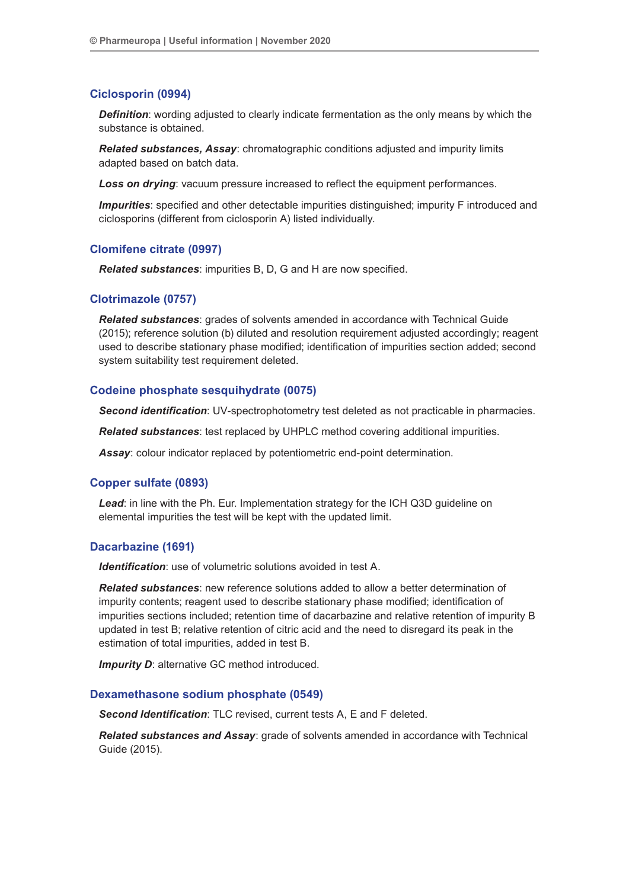## **Ciclosporin (0994)**

*Definition:* wording adjusted to clearly indicate fermentation as the only means by which the substance is obtained.

*Related substances, Assay*: chromatographic conditions adjusted and impurity limits adapted based on batch data.

**Loss on drying**: vacuum pressure increased to reflect the equipment performances.

*Impurities*: specified and other detectable impurities distinguished; impurity F introduced and ciclosporins (different from ciclosporin A) listed individually.

## **Clomifene citrate (0997)**

*Related substances*: impurities B, D, G and H are now specified.

#### **Clotrimazole (0757)**

*Related substances*: grades of solvents amended in accordance with Technical Guide (2015); reference solution (b) diluted and resolution requirement adjusted accordingly; reagent used to describe stationary phase modified; identification of impurities section added; second system suitability test requirement deleted.

#### **Codeine phosphate sesquihydrate (0075)**

*Second identification*: UV-spectrophotometry test deleted as not practicable in pharmacies.

*Related substances*: test replaced by UHPLC method covering additional impurities.

*Assay*: colour indicator replaced by potentiometric end-point determination.

#### **Copper sulfate (0893)**

*Lead*: in line with the Ph. Eur. Implementation strategy for the ICH Q3D guideline on elemental impurities the test will be kept with the updated limit.

#### **Dacarbazine (1691)**

*Identification*: use of volumetric solutions avoided in test A.

*Related substances*: new reference solutions added to allow a better determination of impurity contents; reagent used to describe stationary phase modified; identification of impurities sections included; retention time of dacarbazine and relative retention of impurity B updated in test B; relative retention of citric acid and the need to disregard its peak in the estimation of total impurities, added in test B.

**Impurity D:** alternative GC method introduced.

### **Dexamethasone sodium phosphate (0549)**

*Second Identification*: TLC revised, current tests A, E and F deleted.

*Related substances and Assay*: grade of solvents amended in accordance with Technical Guide (2015).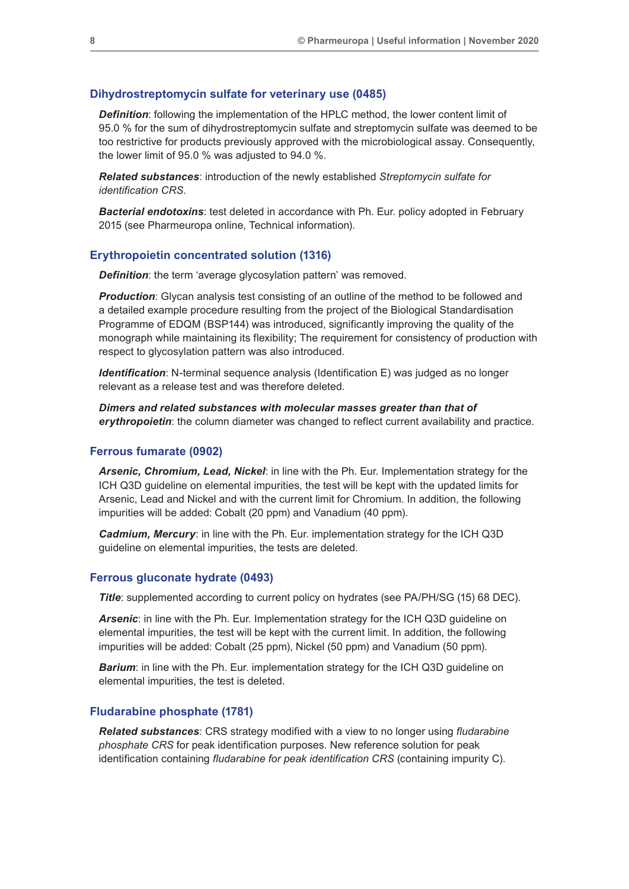#### **Dihydrostreptomycin sulfate for veterinary use (0485)**

*Definition*: following the implementation of the HPLC method, the lower content limit of 95.0 % for the sum of dihydrostreptomycin sulfate and streptomycin sulfate was deemed to be too restrictive for products previously approved with the microbiological assay. Consequently, the lower limit of 95.0 % was adjusted to 94.0 %.

*Related substances*: introduction of the newly established *Streptomycin sulfate for identification CRS*.

*Bacterial endotoxins*: test deleted in accordance with Ph. Eur. policy adopted in February 2015 (see Pharmeuropa online, Technical information).

#### **Erythropoietin concentrated solution (1316)**

**Definition**: the term 'average glycosylation pattern' was removed.

**Production**: Glycan analysis test consisting of an outline of the method to be followed and a detailed example procedure resulting from the project of the Biological Standardisation Programme of EDQM (BSP144) was introduced, significantly improving the quality of the monograph while maintaining its flexibility; The requirement for consistency of production with respect to glycosylation pattern was also introduced.

*Identification*: N-terminal sequence analysis (Identification E) was judged as no longer relevant as a release test and was therefore deleted.

*Dimers and related substances with molecular masses greater than that of erythropoietin*: the column diameter was changed to reflect current availability and practice.

#### **Ferrous fumarate (0902)**

*Arsenic, Chromium, Lead, Nickel*: in line with the Ph. Eur. Implementation strategy for the ICH Q3D guideline on elemental impurities, the test will be kept with the updated limits for Arsenic, Lead and Nickel and with the current limit for Chromium. In addition, the following impurities will be added: Cobalt (20 ppm) and Vanadium (40 ppm).

*Cadmium, Mercury*: in line with the Ph. Eur. implementation strategy for the ICH Q3D guideline on elemental impurities, the tests are deleted.

#### **Ferrous gluconate hydrate (0493)**

**Title**: supplemented according to current policy on hydrates (see PA/PH/SG (15) 68 DEC).

*Arsenic*: in line with the Ph. Eur. Implementation strategy for the ICH Q3D guideline on elemental impurities, the test will be kept with the current limit. In addition, the following impurities will be added: Cobalt (25 ppm), Nickel (50 ppm) and Vanadium (50 ppm).

**Barium:** in line with the Ph. Eur. implementation strategy for the ICH Q3D guideline on elemental impurities, the test is deleted.

#### **Fludarabine phosphate (1781)**

*Related substances*: CRS strategy modified with a view to no longer using *fludarabine phosphate CRS* for peak identification purposes. New reference solution for peak identification containing *fludarabine for peak identification CRS* (containing impurity C).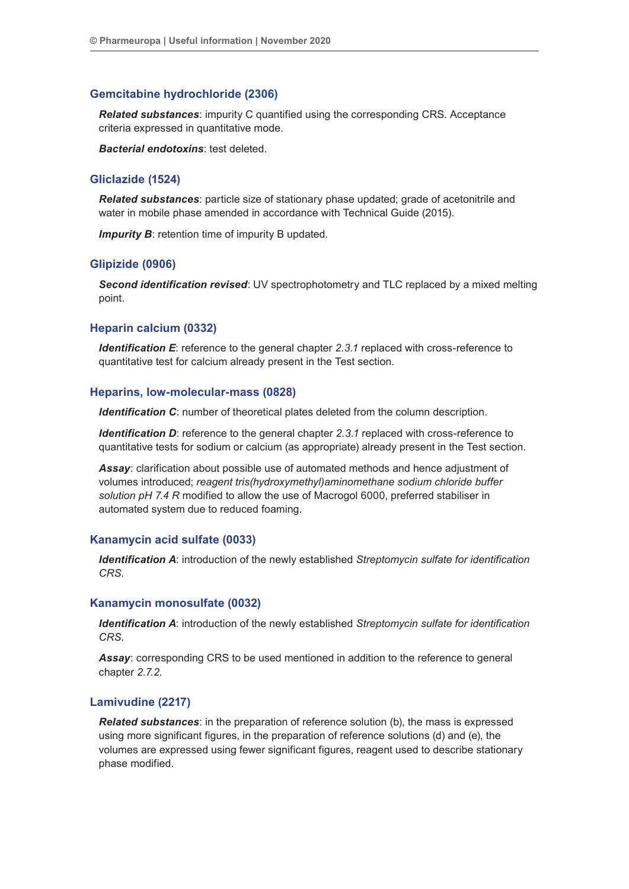## **Gemcitabine hydrochloride (2306)**

*Related substances*: impurity C quantified using the corresponding CRS. Acceptance criteria expressed in quantitative mode.

*Bacterial endotoxins*: test deleted.

## **Gliclazide (1524)**

*Related substances*: particle size of stationary phase updated; grade of acetonitrile and water in mobile phase amended in accordance with Technical Guide (2015).

*Impurity B*: retention time of impurity B updated.

#### **Glipizide (0906)**

*Second identification revised*: UV spectrophotometry and TLC replaced by a mixed melting point.

## **Heparin calcium (0332)**

*Identification E:* reference to the general chapter 2.3.1 replaced with cross-reference to quantitative test for calcium already present in the Test section.

#### **Heparins, low-molecular-mass (0828)**

*Identification C*: number of theoretical plates deleted from the column description.

*Identification D*: reference to the general chapter 2.3.1 replaced with cross-reference to quantitative tests for sodium or calcium (as appropriate) already present in the Test section.

*Assay*: clarification about possible use of automated methods and hence adjustment of volumes introduced; *reagent tris(hydroxymethyl)aminomethane sodium chloride buffer solution pH 7.4 R* modified to allow the use of Macrogol 6000, preferred stabiliser in automated system due to reduced foaming.

#### **Kanamycin acid sulfate (0033)**

*Identification A*: introduction of the newly established *Streptomycin sulfate for identification CRS*.

#### **Kanamycin monosulfate (0032)**

*Identification A*: introduction of the newly established *Streptomycin sulfate for identification CRS*.

**Assay:** corresponding CRS to be used mentioned in addition to the reference to general chapter *2.7.2*.

#### **Lamivudine (2217)**

*Related substances*: in the preparation of reference solution (b), the mass is expressed using more significant figures, in the preparation of reference solutions (d) and (e), the volumes are expressed using fewer significant figures, reagent used to describe stationary phase modified.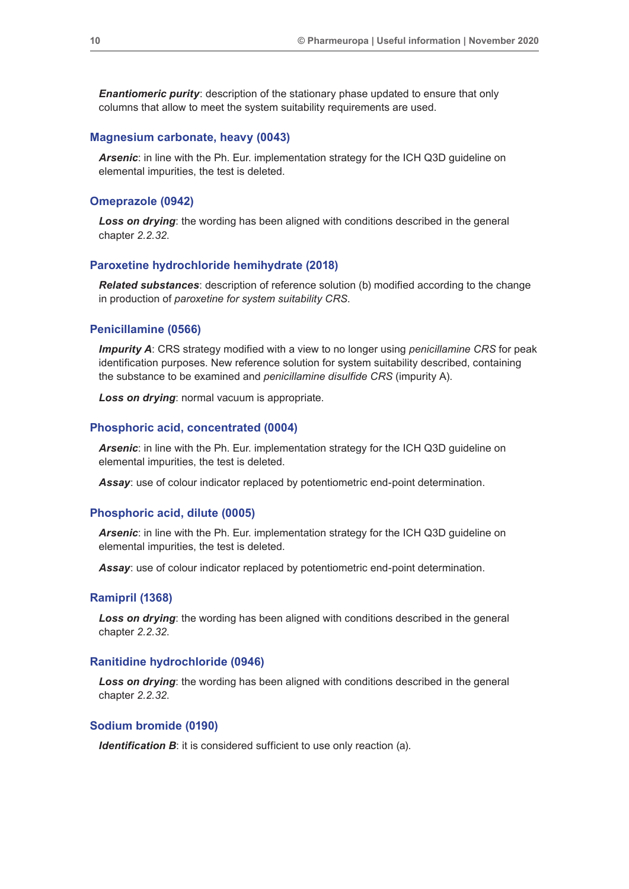*Enantiomeric purity:* description of the stationary phase updated to ensure that only columns that allow to meet the system suitability requirements are used.

#### **Magnesium carbonate, heavy (0043)**

*Arsenic*: in line with the Ph. Eur. implementation strategy for the ICH Q3D guideline on elemental impurities, the test is deleted.

## **Omeprazole (0942)**

**Loss on drying**: the wording has been aligned with conditions described in the general chapter *2.2.32*.

#### **Paroxetine hydrochloride hemihydrate (2018)**

*Related substances*: description of reference solution (b) modified according to the change in production of *paroxetine for system suitability CRS*.

## **Penicillamine (0566)**

*Impurity A*: CRS strategy modified with a view to no longer using *penicillamine CRS* for peak identification purposes. New reference solution for system suitability described, containing the substance to be examined and *penicillamine disulfide CRS* (impurity A).

*Loss on drying*: normal vacuum is appropriate.

#### **Phosphoric acid, concentrated (0004)**

*Arsenic*: in line with the Ph. Eur. implementation strategy for the ICH Q3D guideline on elemental impurities, the test is deleted.

*Assay*: use of colour indicator replaced by potentiometric end-point determination.

### **Phosphoric acid, dilute (0005)**

*Arsenic*: in line with the Ph. Eur. implementation strategy for the ICH Q3D guideline on elemental impurities, the test is deleted.

*Assay*: use of colour indicator replaced by potentiometric end-point determination.

## **Ramipril (1368)**

**Loss on drying**: the wording has been aligned with conditions described in the general chapter *2.2.32*.

#### **Ranitidine hydrochloride (0946)**

*Loss on drying*: the wording has been aligned with conditions described in the general chapter *2.2.32*.

#### **Sodium bromide (0190)**

*Identification B*: it is considered sufficient to use only reaction (a).